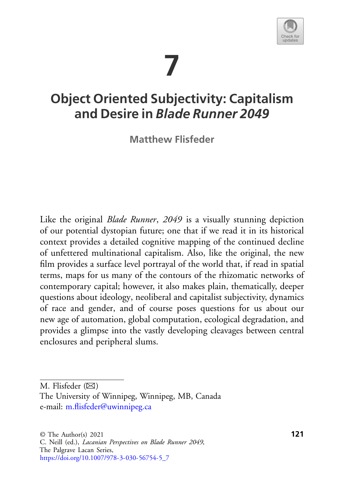# **7**



# **Object Oriented Subjectivity: Capitalism and Desire in** *Blade Runner 2049*

**Matthew Flisfeder**

Like the original *Blade Runner*, *2049* is a visually stunning depiction of our potential dystopian future; one that if we read it in its historical context provides a detailed cognitive mapping of the continued decline of unfettered multinational capitalism. Also, like the original, the new film provides a surface level portrayal of the world that, if read in spatial terms, maps for us many of the contours of the rhizomatic networks of contemporary capital; however, it also makes plain, thematically, deeper questions about ideology, neoliberal and capitalist subjectivity, dynamics of race and gender, and of course poses questions for us about our new age of automation, global computation, ecological degradation, and provides a glimpse into the vastly developing cleavages between central enclosures and peripheral slums.

M. Flisfeder  $(\boxtimes)$ 

The University of Winnipeg, Winnipeg, MB, Canada e-mail: [m.flisfeder@uwinnipeg.ca](mailto:m.flisfeder@uwinnipeg.ca)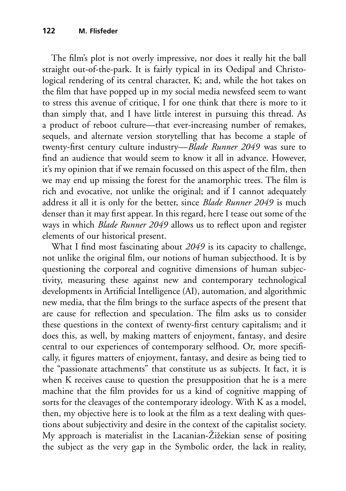The film's plot is not overly impressive, nor does it really hit the ball straight out-of-the-park. It is fairly typical in its Oedipal and Christological rendering of its central character, K; and, while the hot takes on the film that have popped up in my social media newsfeed seem to want to stress this avenue of critique, I for one think that there is more to it than simply that, and I have little interest in pursuing this thread. As a product of reboot culture—that ever-increasing number of remakes, sequels, and alternate version storytelling that has become a staple of twenty-first century culture industry—*Blade Runner 2049* was sure to find an audience that would seem to know it all in advance. However, it's my opinion that if we remain focussed on this aspect of the film, then we may end up missing the forest for the anamorphic trees. The film is rich and evocative, not unlike the original; and if I cannot adequately address it all it is only for the better, since *Blade Runner 2049* is much denser than it may first appear. In this regard, here I tease out some of the ways in which *Blade Runner 2049* allows us to reflect upon and register elements of our historical present.

What I find most fascinating about *2049* is its capacity to challenge, not unlike the original film, our notions of human subjecthood. It is by questioning the corporeal and cognitive dimensions of human subjectivity, measuring these against new and contemporary technological developments in Artificial Intelligence (AI), automation, and algorithmic new media, that the film brings to the surface aspects of the present that are cause for reflection and speculation. The film asks us to consider these questions in the context of twenty-first century capitalism; and it does this, as well, by making matters of enjoyment, fantasy, and desire central to our experiences of contemporary selfhood. Or, more specifically, it figures matters of enjoyment, fantasy, and desire as being tied to the "passionate attachments" that constitute us as subjects. It fact, it is when K receives cause to question the presupposition that he is a mere machine that the film provides for us a kind of cognitive mapping of sorts for the cleavages of the contemporary ideology. With K as a model, then, my objective here is to look at the film as a text dealing with questions about subjectivity and desire in the context of the capitalist society. My approach is materialist in the Lacanian-Žižekian sense of positing the subject as the very gap in the Symbolic order, the lack in reality,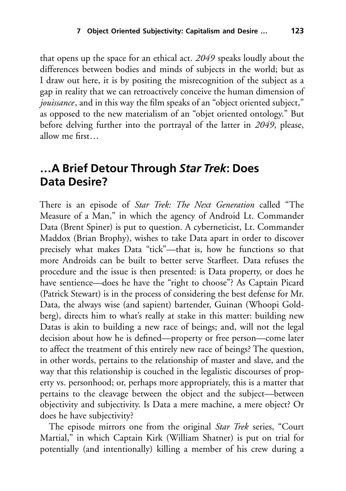that opens up the space for an ethical act. *2049* speaks loudly about the differences between bodies and minds of subjects in the world; but as I draw out here, it is by positing the misrecognition of the subject as a gap in reality that we can retroactively conceive the human dimension of *jouissance*, and in this way the film speaks of an "object oriented subject," as opposed to the new materialism of an "objet oriented ontology." But before delving further into the portrayal of the latter in *2049*, please, allow me first…

### **…A Brief Detour Through** *Star Trek***: Does Data Desire?**

There is an episode of *Star Trek: The Next Generation* called "The Measure of a Man," in which the agency of Android Lt. Commander Data (Brent Spiner) is put to question. A cyberneticist, Lt. Commander Maddox (Brian Brophy), wishes to take Data apart in order to discover precisely what makes Data "tick"—that is, how he functions so that more Androids can be built to better serve Starfleet. Data refuses the procedure and the issue is then presented: is Data property, or does he have sentience—does he have the "right to choose"? As Captain Picard (Patrick Stewart) is in the process of considering the best defense for Mr. Data, the always wise (and sapient) bartender, Guinan (Whoopi Goldberg), directs him to what's really at stake in this matter: building new Datas is akin to building a new race of beings; and, will not the legal decision about how he is defined—property or free person—come later to affect the treatment of this entirely new race of beings? The question, in other words, pertains to the relationship of master and slave, and the way that this relationship is couched in the legalistic discourses of property vs. personhood; or, perhaps more appropriately, this is a matter that pertains to the cleavage between the object and the subject—between objectivity and subjectivity. Is Data a mere machine, a mere object? Or does he have subjectivity?

The episode mirrors one from the original *Star Trek* series, "Court Martial," in which Captain Kirk (William Shatner) is put on trial for potentially (and intentionally) killing a member of his crew during a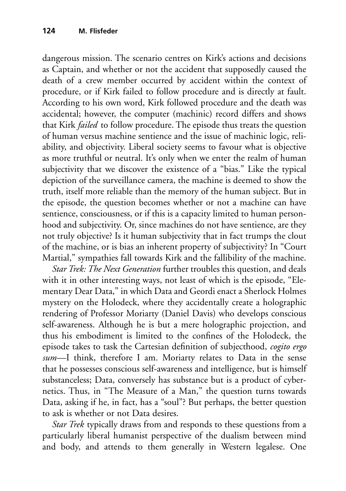dangerous mission. The scenario centres on Kirk's actions and decisions as Captain, and whether or not the accident that supposedly caused the death of a crew member occurred by accident within the context of procedure, or if Kirk failed to follow procedure and is directly at fault. According to his own word, Kirk followed procedure and the death was accidental; however, the computer (machinic) record differs and shows that Kirk *failed* to follow procedure. The episode thus treats the question of human versus machine sentience and the issue of machinic logic, reliability, and objectivity. Liberal society seems to favour what is objective as more truthful or neutral. It's only when we enter the realm of human subjectivity that we discover the existence of a "bias." Like the typical depiction of the surveillance camera, the machine is deemed to show the truth, itself more reliable than the memory of the human subject. But in the episode, the question becomes whether or not a machine can have sentience, consciousness, or if this is a capacity limited to human personhood and subjectivity. Or, since machines do not have sentience, are they not truly objective? Is it human subjectivity that in fact trumps the clout of the machine, or is bias an inherent property of subjectivity? In "Court Martial," sympathies fall towards Kirk and the fallibility of the machine.

*Star Trek: The Next Generation* further troubles this question, and deals with it in other interesting ways, not least of which is the episode, "Elementary Dear Data," in which Data and Geordi enact a Sherlock Holmes mystery on the Holodeck, where they accidentally create a holographic rendering of Professor Moriarty (Daniel Davis) who develops conscious self-awareness. Although he is but a mere holographic projection, and thus his embodiment is limited to the confines of the Holodeck, the episode takes to task the Cartesian definition of subjecthood, *cogito ergo sum*—I think, therefore I am. Moriarty relates to Data in the sense that he possesses conscious self-awareness and intelligence, but is himself substanceless; Data, conversely has substance but is a product of cybernetics. Thus, in "The Measure of a Man," the question turns towards Data, asking if he, in fact, has a "soul"? But perhaps, the better question to ask is whether or not Data desires.

*Star Trek* typically draws from and responds to these questions from a particularly liberal humanist perspective of the dualism between mind and body, and attends to them generally in Western legalese. One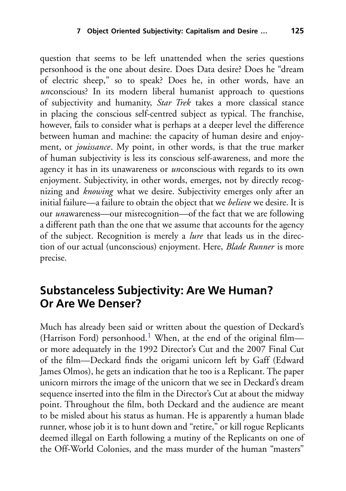question that seems to be left unattended when the series questions personhood is the one about desire. Does Data desire? Does he "dream of electric sheep," so to speak? Does he, in other words, have an *unconscious?* In its modern liberal humanist approach to questions of subjectivity and humanity, *Star Trek* takes a more classical stance in placing the conscious self-centred subject as typical. The franchise, however, fails to consider what is perhaps at a deeper level the difference between human and machine: the capacity of human desire and enjoyment, or *jouissance*. My point, in other words, is that the true marker of human subjectivity is less its conscious self-awareness, and more the agency it has in its unawareness or *un*conscious with regards to its own enjoyment. Subjectivity, in other words, emerges, not by directly recognizing and *knowing* what we desire. Subjectivity emerges only after an initial failure—a failure to obtain the object that we *believe* we desire. It is our *un*awareness—our misrecognition—of the fact that we are following a different path than the one that we assume that accounts for the agency of the subject. Recognition is merely a *lure* that leads us in the direction of our actual (unconscious) enjoyment. Here, *Blade Runner* is more precise.

## **Substanceless Subjectivity: Are We Human? Or Are We Denser?**

Much has already been said or written about the question of Deckard's (Harrison Ford) personhood.<sup>[1](#page-16-0)</sup> When, at the end of the original film or more adequately in the 1992 Director's Cut and the 2007 Final Cut of the film—Deckard finds the origami unicorn left by Gaff (Edward James Olmos), he gets an indication that he too is a Replicant. The paper unicorn mirrors the image of the unicorn that we see in Deckard's dream sequence inserted into the film in the Director's Cut at about the midway point. Throughout the film, both Deckard and the audience are meant to be misled about his status as human. He is apparently a human blade runner, whose job it is to hunt down and "retire," or kill rogue Replicants deemed illegal on Earth following a mutiny of the Replicants on one of the Off-World Colonies, and the mass murder of the human "masters"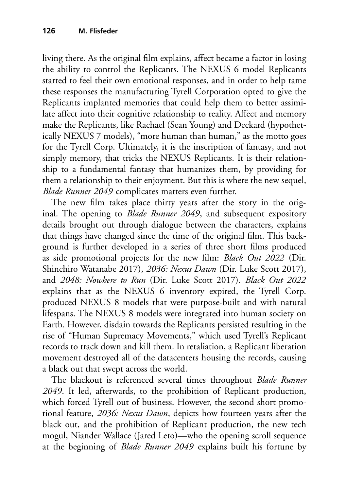living there. As the original film explains, affect became a factor in losing the ability to control the Replicants. The NEXUS 6 model Replicants started to feel their own emotional responses, and in order to help tame these responses the manufacturing Tyrell Corporation opted to give the Replicants implanted memories that could help them to better assimilate affect into their cognitive relationship to reality. Affect and memory make the Replicants, like Rachael (Sean Young) and Deckard (hypothetically NEXUS 7 models), "more human than human," as the motto goes for the Tyrell Corp. Ultimately, it is the inscription of fantasy, and not simply memory, that tricks the NEXUS Replicants. It is their relationship to a fundamental fantasy that humanizes them, by providing for them a relationship to their enjoyment. But this is where the new sequel, *Blade Runner 2049* complicates matters even further.

The new film takes place thirty years after the story in the original. The opening to *Blade Runner 2049*, and subsequent expository details brought out through dialogue between the characters, explains that things have changed since the time of the original film. This background is further developed in a series of three short films produced as side promotional projects for the new film: *Black Out 2022* (Dir. Shinchiro Watanabe 2017), *2036: Nexus Dawn* (Dir. Luke Scott 2017), and *2048: Nowhere to Run* (Dir. Luke Scott 2017). *Black Out 2022* explains that as the NEXUS 6 inventory expired, the Tyrell Corp. produced NEXUS 8 models that were purpose-built and with natural lifespans. The NEXUS 8 models were integrated into human society on Earth. However, disdain towards the Replicants persisted resulting in the rise of "Human Supremacy Movements," which used Tyrell's Replicant records to track down and kill them. In retaliation, a Replicant liberation movement destroyed all of the datacenters housing the records, causing a black out that swept across the world.

The blackout is referenced several times throughout *Blade Runner 2049*. It led, afterwards, to the prohibition of Replicant production, which forced Tyrell out of business. However, the second short promotional feature, *2036: Nexus Dawn*, depicts how fourteen years after the black out, and the prohibition of Replicant production, the new tech mogul, Niander Wallace (Jared Leto)—who the opening scroll sequence at the beginning of *Blade Runner 2049* explains built his fortune by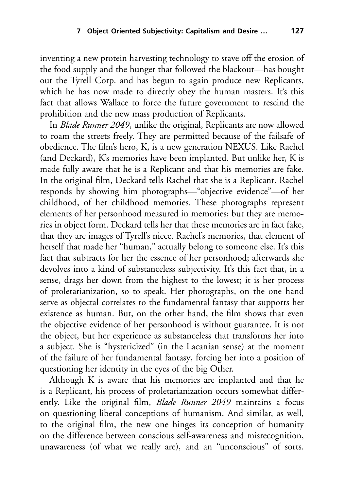inventing a new protein harvesting technology to stave off the erosion of the food supply and the hunger that followed the blackout—has bought out the Tyrell Corp. and has begun to again produce new Replicants, which he has now made to directly obey the human masters. It's this fact that allows Wallace to force the future government to rescind the prohibition and the new mass production of Replicants.

In *Blade Runner 2049*, unlike the original, Replicants are now allowed to roam the streets freely. They are permitted because of the failsafe of obedience. The film's hero, K, is a new generation NEXUS. Like Rachel (and Deckard), K's memories have been implanted. But unlike her, K is made fully aware that he is a Replicant and that his memories are fake. In the original film, Deckard tells Rachel that she is a Replicant. Rachel responds by showing him photographs—"objective evidence"—of her childhood, of her childhood memories. These photographs represent elements of her personhood measured in memories; but they are memories in object form. Deckard tells her that these memories are in fact fake, that they are images of Tyrell's niece. Rachel's memories, that element of herself that made her "human," actually belong to someone else. It's this fact that subtracts for her the essence of her personhood; afterwards she devolves into a kind of substanceless subjectivity. It's this fact that, in a sense, drags her down from the highest to the lowest; it is her process of proletarianization, so to speak. Her photographs, on the one hand serve as objectal correlates to the fundamental fantasy that supports her existence as human. But, on the other hand, the film shows that even the objective evidence of her personhood is without guarantee. It is not the object, but her experience as substanceless that transforms her into a subject. She is "hystericized" (in the Lacanian sense) at the moment of the failure of her fundamental fantasy, forcing her into a position of questioning her identity in the eyes of the big Other.

Although K is aware that his memories are implanted and that he is a Replicant, his process of proletarianization occurs somewhat differently. Like the original film, *Blade Runner 2049* maintains a focus on questioning liberal conceptions of humanism. And similar, as well, to the original film, the new one hinges its conception of humanity on the difference between conscious self-awareness and misrecognition, unawareness (of what we really are), and an "unconscious" of sorts.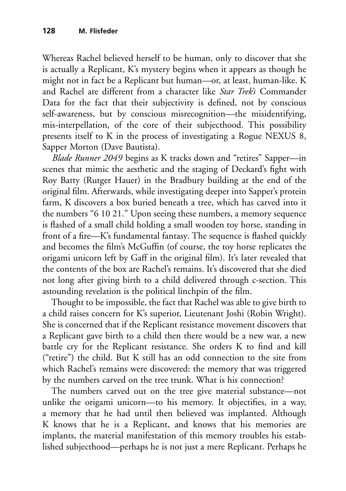Whereas Rachel believed herself to be human, only to discover that she is actually a Replicant, K's mystery begins when it appears as though he might not in fact be a Replicant but human—or, at least, human-like. K and Rachel are different from a character like *Star Trek's* Commander Data for the fact that their subjectivity is defined, not by conscious self-awareness, but by conscious misrecognition—the misidentifying, mis-interpellation, of the core of their subjecthood. This possibility presents itself to K in the process of investigating a Rogue NEXUS 8, Sapper Morton (Dave Bautista).

*Blade Runner 2049* begins as K tracks down and "retires" Sapper—in scenes that mimic the aesthetic and the staging of Deckard's fight with Roy Batty (Rutger Hauer) in the Bradbury building at the end of the original film. Afterwards, while investigating deeper into Sapper's protein farm, K discovers a box buried beneath a tree, which has carved into it the numbers "6 10 21." Upon seeing these numbers, a memory sequence is flashed of a small child holding a small wooden toy horse, standing in front of a fire—K's fundamental fantasy. The sequence is flashed quickly and becomes the film's McGuffin (of course, the toy horse replicates the origami unicorn left by Gaff in the original film). It's later revealed that the contents of the box are Rachel's remains. It's discovered that she died not long after giving birth to a child delivered through c-section. This astounding revelation is the political linchpin of the film.

Thought to be impossible, the fact that Rachel was able to give birth to a child raises concern for K's superior, Lieutenant Joshi (Robin Wright). She is concerned that if the Replicant resistance movement discovers that a Replicant gave birth to a child then there would be a new war, a new battle cry for the Replicant resistance. She orders K to find and kill ("retire") the child. But K still has an odd connection to the site from which Rachel's remains were discovered: the memory that was triggered by the numbers carved on the tree trunk. What is his connection?

The numbers carved out on the tree give material substance—not unlike the origami unicorn—to his memory. It objectifies, in a way, a memory that he had until then believed was implanted. Although K knows that he is a Replicant, and knows that his memories are implants, the material manifestation of this memory troubles his established subjecthood—perhaps he is not just a mere Replicant. Perhaps he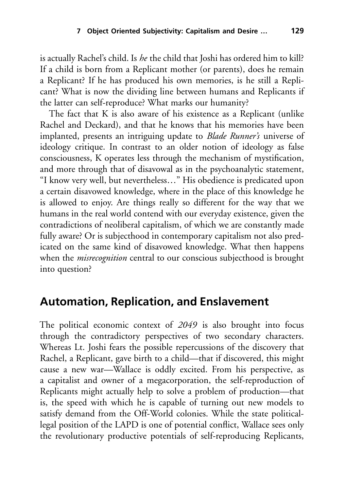is actually Rachel's child. Is *he* the child that Joshi has ordered him to kill? If a child is born from a Replicant mother (or parents), does he remain a Replicant? If he has produced his own memories, is he still a Replicant? What is now the dividing line between humans and Replicants if the latter can self-reproduce? What marks our humanity?

The fact that K is also aware of his existence as a Replicant (unlike Rachel and Deckard), and that he knows that his memories have been implanted, presents an intriguing update to *Blade Runner's* universe of ideology critique. In contrast to an older notion of ideology as false consciousness, K operates less through the mechanism of mystification, and more through that of disavowal as in the psychoanalytic statement, "I know very well, but nevertheless…" His obedience is predicated upon a certain disavowed knowledge, where in the place of this knowledge he is allowed to enjoy. Are things really so different for the way that we humans in the real world contend with our everyday existence, given the contradictions of neoliberal capitalism, of which we are constantly made fully aware? Or is subjecthood in contemporary capitalism not also predicated on the same kind of disavowed knowledge. What then happens when the *misrecognition* central to our conscious subjecthood is brought into question?

#### **Automation, Replication, and Enslavement**

The political economic context of *2049* is also brought into focus through the contradictory perspectives of two secondary characters. Whereas Lt. Joshi fears the possible repercussions of the discovery that Rachel, a Replicant, gave birth to a child—that if discovered, this might cause a new war—Wallace is oddly excited. From his perspective, as a capitalist and owner of a megacorporation, the self-reproduction of Replicants might actually help to solve a problem of production—that is, the speed with which he is capable of turning out new models to satisfy demand from the Off-World colonies. While the state politicallegal position of the LAPD is one of potential conflict, Wallace sees only the revolutionary productive potentials of self-reproducing Replicants,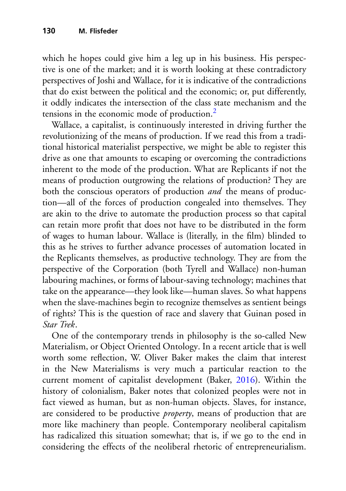which he hopes could give him a leg up in his business. His perspective is one of the market; and it is worth looking at these contradictory perspectives of Joshi and Wallace, for it is indicative of the contradictions that do exist between the political and the economic; or, put differently, it oddly indicates the intersection of the class state mechanism and the tensions in the economic mode of production.<sup>[2](#page-16-0)</sup>

Wallace, a capitalist, is continuously interested in driving further the revolutionizing of the means of production. If we read this from a traditional historical materialist perspective, we might be able to register this drive as one that amounts to escaping or overcoming the contradictions inherent to the mode of the production. What are Replicants if not the means of production outgrowing the relations of production? They are both the conscious operators of production *and* the means of production—all of the forces of production congealed into themselves. They are akin to the drive to automate the production process so that capital can retain more profit that does not have to be distributed in the form of wages to human labour. Wallace is (literally, in the film) blinded to this as he strives to further advance processes of automation located in the Replicants themselves, as productive technology. They are from the perspective of the Corporation (both Tyrell and Wallace) non-human labouring machines, or forms of labour-saving technology; machines that take on the appearance—they look like—human slaves. So what happens when the slave-machines begin to recognize themselves as sentient beings of rights? This is the question of race and slavery that Guinan posed in *Star Trek*.

One of the contemporary trends in philosophy is the so-called New Materialism, or Object Oriented Ontology. In a recent article that is well worth some reflection, W. Oliver Baker makes the claim that interest in the New Materialisms is very much a particular reaction to the current moment of capitalist development (Baker, [2016\)](#page-17-0). Within the history of colonialism, Baker notes that colonized peoples were not in fact viewed as human, but as non-human objects. Slaves, for instance, are considered to be productive *property*, means of production that are more like machinery than people. Contemporary neoliberal capitalism has radicalized this situation somewhat; that is, if we go to the end in considering the effects of the neoliberal rhetoric of entrepreneurialism.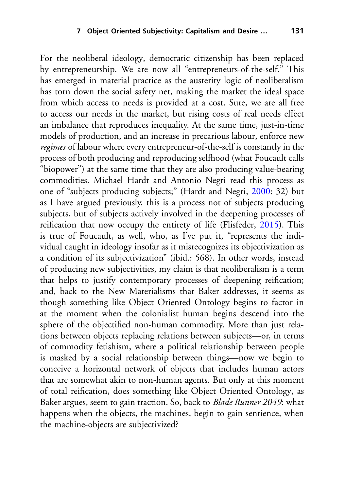For the neoliberal ideology, democratic citizenship has been replaced by entrepreneurship. We are now all "entrepreneurs-of-the-self." This has emerged in material practice as the austerity logic of neoliberalism has torn down the social safety net, making the market the ideal space from which access to needs is provided at a cost. Sure, we are all free to access our needs in the market, but rising costs of real needs effect an imbalance that reproduces inequality. At the same time, just-in-time models of production, and an increase in precarious labour, enforce new *regimes* of labour where every entrepreneur-of-the-self is constantly in the process of both producing and reproducing selfhood (what Foucault calls "biopower") at the same time that they are also producing value-bearing commodities. Michael Hardt and Antonio Negri read this process as one of "subjects producing subjects;" (Hardt and Negri, [2000:](#page-17-1) 32) but as I have argued previously, this is a process not of subjects producing subjects, but of subjects actively involved in the deepening processes of reification that now occupy the entirety of life (Flisfeder, [2015\)](#page-17-2). This is true of Foucault, as well, who, as I've put it, "represents the individual caught in ideology insofar as it misrecognizes its objectivization as a condition of its subjectivization" (ibid.: 568). In other words, instead of producing new subjectivities, my claim is that neoliberalism is a term that helps to justify contemporary processes of deepening reification; and, back to the New Materialisms that Baker addresses, it seems as though something like Object Oriented Ontology begins to factor in at the moment when the colonialist human begins descend into the sphere of the objectified non-human commodity. More than just relations between objects replacing relations between subjects—or, in terms of commodity fetishism, where a political relationship between people is masked by a social relationship between things—now we begin to conceive a horizontal network of objects that includes human actors that are somewhat akin to non-human agents. But only at this moment of total reification, does something like Object Oriented Ontology, as Baker argues, seem to gain traction. So, back to *Blade Runner 2049*: what happens when the objects, the machines, begin to gain sentience, when the machine-objects are subjectivized?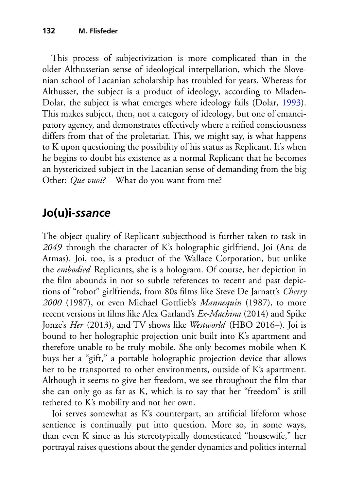This process of subjectivization is more complicated than in the older Althusserian sense of ideological interpellation, which the Slovenian school of Lacanian scholarship has troubled for years. Whereas for Althusser, the subject is a product of ideology, according to Mladen-Dolar, the subject is what emerges where ideology fails (Dolar, [1993\)](#page-17-3). This makes subject, then, not a category of ideology, but one of emancipatory agency, and demonstrates effectively where a reified consciousness differs from that of the proletariat. This, we might say, is what happens to K upon questioning the possibility of his status as Replicant. It's when he begins to doubt his existence as a normal Replicant that he becomes an hystericized subject in the Lacanian sense of demanding from the big Other: *Que vuoi?*—What do you want from me?

# **Jo(u)i-***ssance*

The object quality of Replicant subjecthood is further taken to task in *2049* through the character of K's holographic girlfriend, Joi (Ana de Armas). Joi, too, is a product of the Wallace Corporation, but unlike the *embodied* Replicants, she is a hologram. Of course, her depiction in the film abounds in not so subtle references to recent and past depictions of "robot" girlfriends, from 80s films like Steve De Jarnatt's *Cherry 2000* (1987), or even Michael Gottlieb's *Mannequin* (1987), to more recent versions in films like Alex Garland's *Ex-Machina* (2014) and Spike Jonze's *Her* (2013), and TV shows like *Westworld* (HBO 2016–). Joi is bound to her holographic projection unit built into K's apartment and therefore unable to be truly mobile. She only becomes mobile when K buys her a "gift," a portable holographic projection device that allows her to be transported to other environments, outside of K's apartment. Although it seems to give her freedom, we see throughout the film that she can only go as far as K, which is to say that her "freedom" is still tethered to K's mobility and not her own.

Joi serves somewhat as K's counterpart, an artificial lifeform whose sentience is continually put into question. More so, in some ways, than even K since as his stereotypically domesticated "housewife," her portrayal raises questions about the gender dynamics and politics internal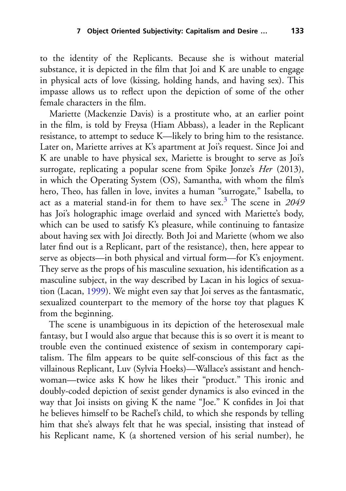to the identity of the Replicants. Because she is without material substance, it is depicted in the film that Joi and K are unable to engage in physical acts of love (kissing, holding hands, and having sex). This impasse allows us to reflect upon the depiction of some of the other female characters in the film.

Mariette (Mackenzie Davis) is a prostitute who, at an earlier point in the film, is told by Freysa (Hiam Abbass), a leader in the Replicant resistance, to attempt to seduce K—likely to bring him to the resistance. Later on, Mariette arrives at K's apartment at Joi's request. Since Joi and K are unable to have physical sex, Mariette is brought to serve as Joi's surrogate, replicating a popular scene from Spike Jonze's *Her* (2013), in which the Operating System (OS), Samantha, with whom the film's hero, Theo, has fallen in love, invites a human "surrogate," Isabella, to act as a material stand-in for them to have sex[.3](#page-16-0) The scene in *2049* has Joi's holographic image overlaid and synced with Mariette's body, which can be used to satisfy K's pleasure, while continuing to fantasize about having sex with Joi directly. Both Joi and Mariette (whom we also later find out is a Replicant, part of the resistance), then, here appear to serve as objects—in both physical and virtual form—for K's enjoyment. They serve as the props of his masculine sexuation, his identification as a masculine subject, in the way described by Lacan in his logics of sexuation (Lacan, [1999\)](#page-17-4). We might even say that Joi serves as the fantasmatic, sexualized counterpart to the memory of the horse toy that plagues K from the beginning.

The scene is unambiguous in its depiction of the heterosexual male fantasy, but I would also argue that because this is so overt it is meant to trouble even the continued existence of sexism in contemporary capitalism. The film appears to be quite self-conscious of this fact as the villainous Replicant, Luv (Sylvia Hoeks)—Wallace's assistant and henchwoman—twice asks K how he likes their "product." This ironic and doubly-coded depiction of sexist gender dynamics is also evinced in the way that Joi insists on giving K the name "Joe." K confides in Joi that he believes himself to be Rachel's child, to which she responds by telling him that she's always felt that he was special, insisting that instead of his Replicant name, K (a shortened version of his serial number), he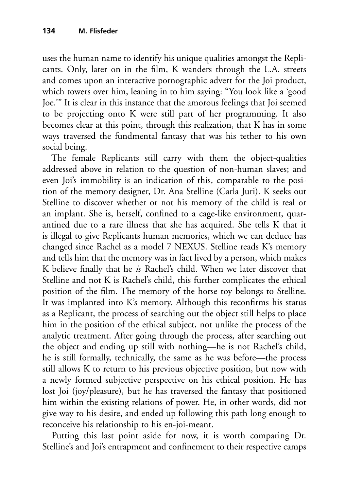uses the human name to identify his unique qualities amongst the Replicants. Only, later on in the film, K wanders through the L.A. streets and comes upon an interactive pornographic advert for the Joi product, which towers over him, leaning in to him saying: "You look like a 'good Joe.'" It is clear in this instance that the amorous feelings that Joi seemed to be projecting onto K were still part of her programming. It also becomes clear at this point, through this realization, that K has in some ways traversed the fundmental fantasy that was his tether to his own social being.

The female Replicants still carry with them the object-qualities addressed above in relation to the question of non-human slaves; and even Joi's immobility is an indication of this, comparable to the position of the memory designer, Dr. Ana Stelline (Carla Juri). K seeks out Stelline to discover whether or not his memory of the child is real or an implant. She is, herself, confined to a cage-like environment, quarantined due to a rare illness that she has acquired. She tells K that it is illegal to give Replicants human memories, which we can deduce has changed since Rachel as a model 7 NEXUS. Stelline reads K's memory and tells him that the memory was in fact lived by a person, which makes K believe finally that he *is* Rachel's child. When we later discover that Stelline and not K is Rachel's child, this further complicates the ethical position of the film. The memory of the horse toy belongs to Stelline. It was implanted into K's memory. Although this reconfirms his status as a Replicant, the process of searching out the object still helps to place him in the position of the ethical subject, not unlike the process of the analytic treatment. After going through the process, after searching out the object and ending up still with nothing—he is not Rachel's child, he is still formally, technically, the same as he was before—the process still allows K to return to his previous objective position, but now with a newly formed subjective perspective on his ethical position. He has lost Joi (joy/pleasure), but he has traversed the fantasy that positioned him within the existing relations of power. He, in other words, did not give way to his desire, and ended up following this path long enough to reconceive his relationship to his en-joi-meant.

Putting this last point aside for now, it is worth comparing Dr. Stelline's and Joi's entrapment and confinement to their respective camps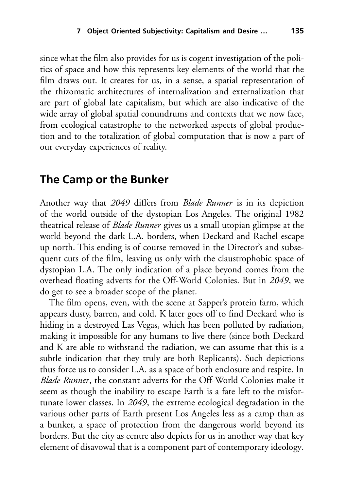since what the film also provides for us is cogent investigation of the politics of space and how this represents key elements of the world that the film draws out. It creates for us, in a sense, a spatial representation of the rhizomatic architectures of internalization and externalization that are part of global late capitalism, but which are also indicative of the wide array of global spatial conundrums and contexts that we now face, from ecological catastrophe to the networked aspects of global production and to the totalization of global computation that is now a part of our everyday experiences of reality.

#### **The Camp or the Bunker**

Another way that *2049* differs from *Blade Runner* is in its depiction of the world outside of the dystopian Los Angeles. The original 1982 theatrical release of *Blade Runner* gives us a small utopian glimpse at the world beyond the dark L.A. borders, when Deckard and Rachel escape up north. This ending is of course removed in the Director's and subsequent cuts of the film, leaving us only with the claustrophobic space of dystopian L.A. The only indication of a place beyond comes from the overhead floating adverts for the Off-World Colonies. But in *2049*, we do get to see a broader scope of the planet.

The film opens, even, with the scene at Sapper's protein farm, which appears dusty, barren, and cold. K later goes off to find Deckard who is hiding in a destroyed Las Vegas, which has been polluted by radiation, making it impossible for any humans to live there (since both Deckard and K are able to withstand the radiation, we can assume that this is a subtle indication that they truly are both Replicants). Such depictions thus force us to consider L.A. as a space of both enclosure and respite. In *Blade Runner*, the constant adverts for the Off-World Colonies make it seem as though the inability to escape Earth is a fate left to the misfortunate lower classes. In *2049*, the extreme ecological degradation in the various other parts of Earth present Los Angeles less as a camp than as a bunker, a space of protection from the dangerous world beyond its borders. But the city as centre also depicts for us in another way that key element of disavowal that is a component part of contemporary ideology.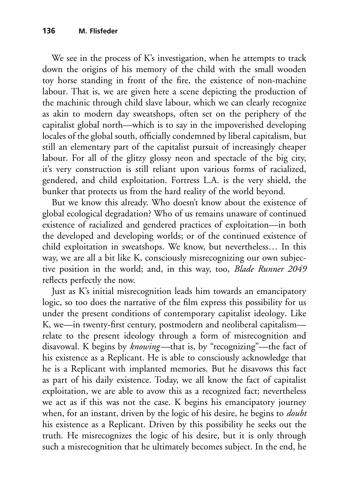We see in the process of K's investigation, when he attempts to track down the origins of his memory of the child with the small wooden toy horse standing in front of the fire, the existence of non-machine labour. That is, we are given here a scene depicting the production of the machinic through child slave labour, which we can clearly recognize as akin to modern day sweatshops, often set on the periphery of the capitalist global north—which is to say in the impoverished developing locales of the global south, officially condemned by liberal capitalism, but still an elementary part of the capitalist pursuit of increasingly cheaper labour. For all of the glitzy glossy neon and spectacle of the big city, it's very construction is still reliant upon various forms of racialized, gendered, and child exploitation. Fortress L.A. is the very shield, the bunker that protects us from the hard reality of the world beyond.

But we know this already. Who doesn't know about the existence of global ecological degradation? Who of us remains unaware of continued existence of racialized and gendered practices of exploitation—in both the developed and developing worlds; or of the continued existence of child exploitation in sweatshops. We know, but nevertheless… In this way, we are all a bit like K, consciously misrecognizing our own subjective position in the world; and, in this way, too, *Blade Runner 2049* reflects perfectly the now.

Just as K's initial misrecognition leads him towards an emancipatory logic, so too does the narrative of the film express this possibility for us under the present conditions of contemporary capitalist ideology. Like K, we—in twenty-first century, postmodern and neoliberal capitalism relate to the present ideology through a form of misrecognition and disavowal. K begins by *knowing*—that is, by "recognizing"—the fact of his existence as a Replicant. He is able to consciously acknowledge that he is a Replicant with implanted memories. But he disavows this fact as part of his daily existence. Today, we all know the fact of capitalist exploitation, we are able to avow this as a recognized fact; nevertheless we act as if this was not the case. K begins his emancipatory journey when, for an instant, driven by the logic of his desire, he begins to *doubt* his existence as a Replicant. Driven by this possibility he seeks out the truth. He misrecognizes the logic of his desire, but it is only through such a misrecognition that he ultimately becomes subject. In the end, he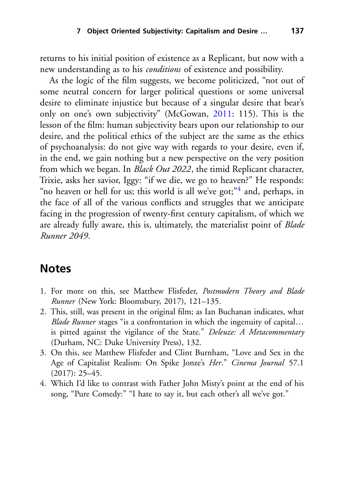returns to his initial position of existence as a Replicant, but now with a new understanding as to his *conditions* of existence and possibility.

As the logic of the film suggests, we become politicized, "not out of some neutral concern for larger political questions or some universal desire to eliminate injustice but because of a singular desire that bear's only on one's own subjectivity" (McGowan, [2011:](#page-17-5) 115). This is the lesson of the film: human subjectivity bears upon our relationship to our desire, and the political ethics of the subject are the same as the ethics of psychoanalysis: do not give way with regards to your desire, even if, in the end, we gain nothing but a new perspective on the very position from which we began. In *Black Out 2022*, the timid Replicant character, Trixie, asks her savior, Iggy: "if we die, we go to heaven?" He responds: "no heaven or hell for us; this world is all we've got;"<sup>4</sup> and, perhaps, in the face of all of the various conflicts and struggles that we anticipate facing in the progression of twenty-first century capitalism, of which we are already fully aware, this is, ultimately, the materialist point of *Blade Runner 2049*.

#### <span id="page-16-0"></span>**Notes**

- 1. For more on this, see Matthew Flisfeder, *Postmodern Theory and Blade Runner* (New York: Bloomsbury, 2017), 121–135.
- 2. This, still, was present in the original film; as Ian Buchanan indicates, what *Blade Runner* stages "is a confrontation in which the ingenuity of capital... is pitted against the vigilance of the State." *Deleuze: A Metacommentary* (Durham, NC: Duke University Press), 132.
- 3. On this, see Matthew Flisfeder and Clint Burnham, "Love and Sex in the Age of Capitalist Realism: On Spike Jonze's *Her*." *Cinema Journal* 57.1  $(2017): 25-45.$
- 4. Which I'd like to contrast with Father John Misty's point at the end of his song, "Pure Comedy:" "I hate to say it, but each other's all we've got."